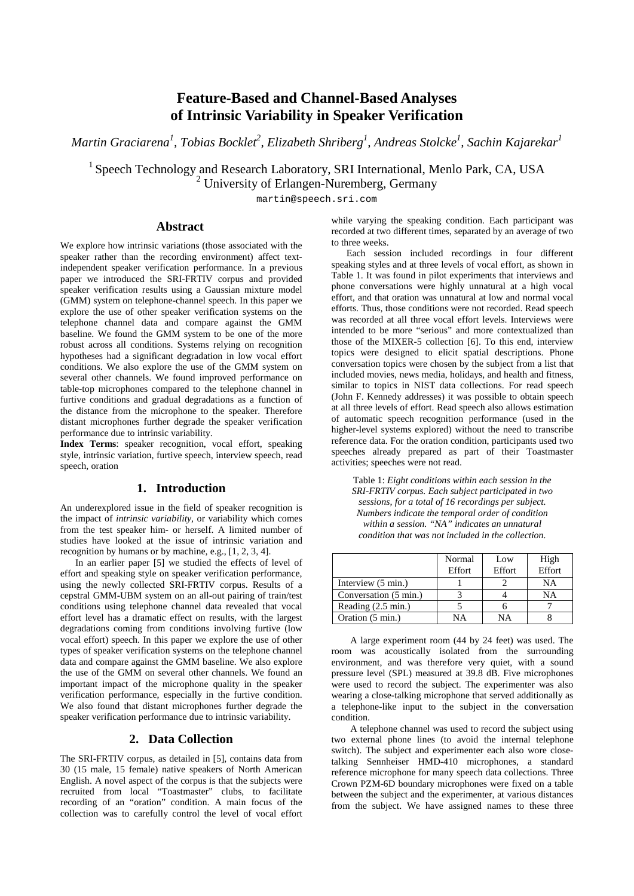# **Feature-Based and Channel-Based Analyses of Intrinsic Variability in Speaker Verification**

*Martin Graciarena<sup>1</sup> , Tobias Bocklet<sup>2</sup> , Elizabeth Shriberg<sup>1</sup> , Andreas Stolcke1 , Sachin Kajarekar<sup>1</sup>*

<sup>1</sup> Speech Technology and Research Laboratory, SRI International, Menlo Park, CA, USA

 $2$  University of Erlangen-Nuremberg, Germany

martin@speech.sri.com

#### **Abstract**

We explore how intrinsic variations (those associated with the speaker rather than the recording environment) affect textindependent speaker verification performance. In a previous paper we introduced the SRI-FRTIV corpus and provided speaker verification results using a Gaussian mixture model (GMM) system on telephone-channel speech. In this paper we explore the use of other speaker verification systems on the telephone channel data and compare against the GMM baseline. We found the GMM system to be one of the more robust across all conditions. Systems relying on recognition hypotheses had a significant degradation in low vocal effort conditions. We also explore the use of the GMM system on several other channels. We found improved performance on table-top microphones compared to the telephone channel in furtive conditions and gradual degradations as a function of the distance from the microphone to the speaker. Therefore distant microphones further degrade the speaker verification performance due to intrinsic variability.

**Index Terms**: speaker recognition, vocal effort, speaking style, intrinsic variation, furtive speech, interview speech, read speech, oration

## **1. Introduction**

An underexplored issue in the field of speaker recognition is the impact of *intrinsic variability*, or variability which comes from the test speaker him- or herself. A limited number of studies have looked at the issue of intrinsic variation and recognition by humans or by machine, e.g., [1, 2, 3, 4].

In an earlier paper [5] we studied the effects of level of effort and speaking style on speaker verification performance, using the newly collected SRI-FRTIV corpus. Results of a cepstral GMM-UBM system on an all-out pairing of train/test conditions using telephone channel data revealed that vocal effort level has a dramatic effect on results, with the largest degradations coming from conditions involving furtive (low vocal effort) speech. In this paper we explore the use of other types of speaker verification systems on the telephone channel data and compare against the GMM baseline. We also explore the use of the GMM on several other channels. We found an important impact of the microphone quality in the speaker verification performance, especially in the furtive condition. We also found that distant microphones further degrade the speaker verification performance due to intrinsic variability.

#### **2. Data Collection**

The SRI-FRTIV corpus, as detailed in [5], contains data from 30 (15 male, 15 female) native speakers of North American English. A novel aspect of the corpus is that the subjects were recruited from local "Toastmaster" clubs, to facilitate recording of an "oration" condition. A main focus of the collection was to carefully control the level of vocal effort while varying the speaking condition. Each participant was recorded at two different times, separated by an average of two to three weeks.

Each session included recordings in four different speaking styles and at three levels of vocal effort, as shown in Table 1. It was found in pilot experiments that interviews and phone conversations were highly unnatural at a high vocal effort, and that oration was unnatural at low and normal vocal efforts. Thus, those conditions were not recorded. Read speech was recorded at all three vocal effort levels. Interviews were intended to be more "serious" and more contextualized than those of the MIXER-5 collection [6]. To this end, interview topics were designed to elicit spatial descriptions. Phone conversation topics were chosen by the subject from a list that included movies, news media, holidays, and health and fitness, similar to topics in NIST data collections. For read speech (John F. Kennedy addresses) it was possible to obtain speech at all three levels of effort. Read speech also allows estimation of automatic speech recognition performance (used in the higher-level systems explored) without the need to transcribe reference data. For the oration condition, participants used two speeches already prepared as part of their Toastmaster activities; speeches were not read.

Table 1: *Eight conditions within each session in the SRI-FRTIV corpus. Each subject participated in two sessions, for a total of 16 recordings per subject. Numbers indicate the temporal order of condition within a session. "NA" indicates an unnatural condition that was not included in the collection.*

|                              | Normal<br>Effort | Low<br>Effort | High<br>Effort |
|------------------------------|------------------|---------------|----------------|
| Interview (5 min.)           |                  |               | NA             |
| Conversation (5 min.)        |                  |               | <b>NA</b>      |
| Reading $(2.5 \text{ min.})$ |                  |               |                |
| Oration (5 min.)             | NΑ               | NΑ            |                |

A large experiment room (44 by 24 feet) was used. The room was acoustically isolated from the surrounding environment, and was therefore very quiet, with a sound pressure level (SPL) measured at 39.8 dB. Five microphones were used to record the subject. The experimenter was also wearing a close-talking microphone that served additionally as a telephone-like input to the subject in the conversation condition.

A telephone channel was used to record the subject using two external phone lines (to avoid the internal telephone switch). The subject and experimenter each also wore closetalking Sennheiser HMD-410 microphones, a standard reference microphone for many speech data collections. Three Crown PZM-6D boundary microphones were fixed on a table between the subject and the experimenter, at various distances from the subject. We have assigned names to these three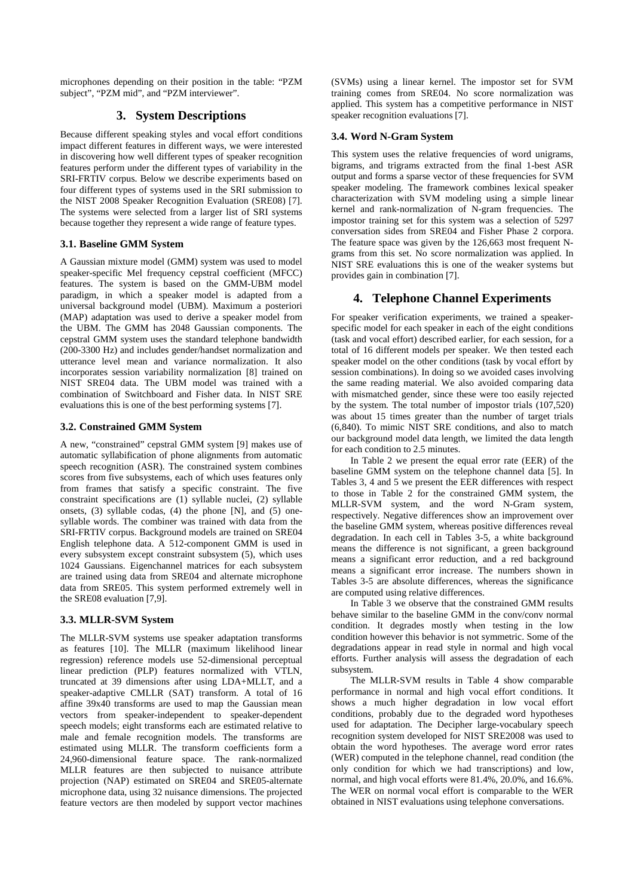microphones depending on their position in the table: "PZM subject", "PZM mid", and "PZM interviewer".

## **3. System Descriptions**

Because different speaking styles and vocal effort conditions impact different features in different ways, we were interested in discovering how well different types of speaker recognition features perform under the different types of variability in the SRI-FRTIV corpus. Below we describe experiments based on four different types of systems used in the SRI submission to the NIST 2008 Speaker Recognition Evaluation (SRE08) [7]. The systems were selected from a larger list of SRI systems because together they represent a wide range of feature types.

### **3.1. Baseline GMM System**

A Gaussian mixture model (GMM) system was used to model speaker-specific Mel frequency cepstral coefficient (MFCC) features. The system is based on the GMM-UBM model paradigm, in which a speaker model is adapted from a universal background model (UBM). Maximum a posteriori (MAP) adaptation was used to derive a speaker model from the UBM. The GMM has 2048 Gaussian components. The cepstral GMM system uses the standard telephone bandwidth (200-3300 Hz) and includes gender/handset normalization and utterance level mean and variance normalization. It also incorporates session variability normalization [8] trained on NIST SRE04 data. The UBM model was trained with a combination of Switchboard and Fisher data. In NIST SRE evaluations this is one of the best performing systems [7].

#### **3.2. Constrained GMM System**

A new, "constrained" cepstral GMM system [9] makes use of automatic syllabification of phone alignments from automatic speech recognition (ASR). The constrained system combines scores from five subsystems, each of which uses features only from frames that satisfy a specific constraint. The five constraint specifications are (1) syllable nuclei, (2) syllable onsets, (3) syllable codas, (4) the phone [N], and (5) onesyllable words. The combiner was trained with data from the SRI-FRTIV corpus. Background models are trained on SRE04 English telephone data. A 512-component GMM is used in every subsystem except constraint subsystem (5), which uses 1024 Gaussians. Eigenchannel matrices for each subsystem are trained using data from SRE04 and alternate microphone data from SRE05. This system performed extremely well in the SRE08 evaluation [7,9].

#### **3.3. MLLR-SVM System**

The MLLR-SVM systems use speaker adaptation transforms as features [10]. The MLLR (maximum likelihood linear regression) reference models use 52-dimensional perceptual linear prediction (PLP) features normalized with VTLN, truncated at 39 dimensions after using LDA+MLLT, and a speaker-adaptive CMLLR (SAT) transform. A total of 16 affine 39x40 transforms are used to map the Gaussian mean vectors from speaker-independent to speaker-dependent speech models; eight transforms each are estimated relative to male and female recognition models. The transforms are estimated using MLLR. The transform coefficients form a 24,960-dimensional feature space. The rank-normalized MLLR features are then subjected to nuisance attribute projection (NAP) estimated on SRE04 and SRE05-alternate microphone data, using 32 nuisance dimensions. The projected feature vectors are then modeled by support vector machines (SVMs) using a linear kernel. The impostor set for SVM training comes from SRE04. No score normalization was applied. This system has a competitive performance in NIST speaker recognition evaluations [7].

#### **3.4. Word N-Gram System**

This system uses the relative frequencies of word unigrams, bigrams, and trigrams extracted from the final 1-best ASR output and forms a sparse vector of these frequencies for SVM speaker modeling. The framework combines lexical speaker characterization with SVM modeling using a simple linear kernel and rank-normalization of N-gram frequencies. The impostor training set for this system was a selection of 5297 conversation sides from SRE04 and Fisher Phase 2 corpora. The feature space was given by the 126,663 most frequent Ngrams from this set. No score normalization was applied. In NIST SRE evaluations this is one of the weaker systems but provides gain in combination [7].

## **4. Telephone Channel Experiments**

For speaker verification experiments, we trained a speakerspecific model for each speaker in each of the eight conditions (task and vocal effort) described earlier, for each session, for a total of 16 different models per speaker. We then tested each speaker model on the other conditions (task by vocal effort by session combinations). In doing so we avoided cases involving the same reading material. We also avoided comparing data with mismatched gender, since these were too easily rejected by the system. The total number of impostor trials (107,520) was about 15 times greater than the number of target trials (6,840). To mimic NIST SRE conditions, and also to match our background model data length, we limited the data length for each condition to 2.5 minutes.

In Table 2 we present the equal error rate (EER) of the baseline GMM system on the telephone channel data [5]. In Tables 3, 4 and 5 we present the EER differences with respect to those in Table 2 for the constrained GMM system, the MLLR-SVM system, and the word N-Gram system, respectively. Negative differences show an improvement over the baseline GMM system, whereas positive differences reveal degradation. In each cell in Tables 3-5, a white background means the difference is not significant, a green background means a significant error reduction, and a red background means a significant error increase. The numbers shown in Tables 3-5 are absolute differences, whereas the significance are computed using relative differences.

In Table 3 we observe that the constrained GMM results behave similar to the baseline GMM in the conv/conv normal condition. It degrades mostly when testing in the low condition however this behavior is not symmetric. Some of the degradations appear in read style in normal and high vocal efforts. Further analysis will assess the degradation of each subsystem.

The MLLR-SVM results in Table 4 show comparable performance in normal and high vocal effort conditions. It shows a much higher degradation in low vocal effort conditions, probably due to the degraded word hypotheses used for adaptation. The Decipher large-vocabulary speech recognition system developed for NIST SRE2008 was used to obtain the word hypotheses. The average word error rates (WER) computed in the telephone channel, read condition (the only condition for which we had transcriptions) and low, normal, and high vocal efforts were 81.4%, 20.0%, and 16.6%. The WER on normal vocal effort is comparable to the WER obtained in NIST evaluations using telephone conversations.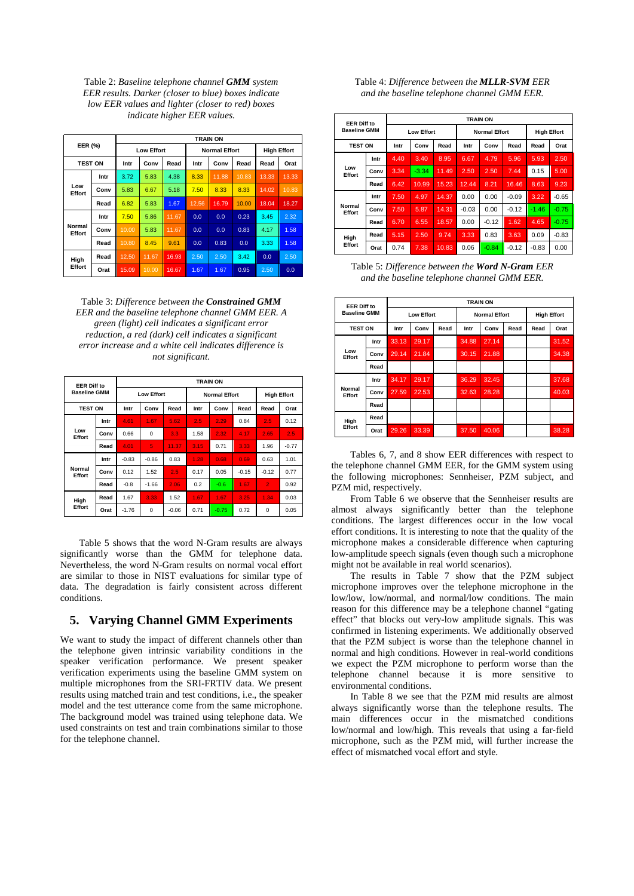Table 2: *Baseline telephone channel GMM system EER results. Darker (closer to blue) boxes indicate low EER values and lighter (closer to red) boxes indicate higher EER values.*

| EER (%)          |      |                   |       |       |       | <b>TRAIN ON</b>      |                    |       |       |
|------------------|------|-------------------|-------|-------|-------|----------------------|--------------------|-------|-------|
|                  |      | <b>Low Effort</b> |       |       |       | <b>Normal Effort</b> | <b>High Effort</b> |       |       |
| <b>TEST ON</b>   |      | Intr              | Conv  | Read  | Intr  | Conv                 | Read               | Read  | Orat  |
|                  | Intr | 3.72              | 5.83  | 4.38  | 8.33  | 11.88                | 10.83              | 13.33 | 13.33 |
| Low<br>Effort    | Conv | 5.83              | 6.67  | 5.18  | 7.50  | 8.33                 | 8.33               | 14.02 | 10.83 |
|                  | Read | 6.82              | 5.83  | 1.67  | 12.56 | 16.79                | 10.00              | 18.04 | 18.27 |
|                  | Intr | 7.50              | 5.86  | 11.67 | 0.0   | 0.0                  | 0.23               | 3.45  | 2.32  |
| Normal<br>Effort | Conv | 10.00             | 5.83  | 11.67 | 0.0   | 0.0                  | 0.83               | 4.17  | 1.58  |
|                  | Read | 10.80             | 8.45  | 9.61  | 0.0   | 0.83                 | 0.0                | 3.33  | 1.58  |
| High<br>Effort   | Read | 12.50             | 11.67 | 16.93 | 2.50  | 2.50                 | 3.42               | 0.0   | 2.50  |
|                  | Orat | 15.09             | 10.00 | 16.67 | 1.67  | 1.67                 | 0.95               | 2.50  | 0.0   |

Table 3: *Difference between the Constrained GMM EER and the baseline telephone channel GMM EER. A green (light) cell indicates a significant error reduction, a red (dark) cell indicates a significant error increase and a white cell indicates difference is not significant.*

| <b>EER Diff to</b><br><b>Baseline GMM</b> |      |                   | <b>TRAIN ON</b> |         |      |                      |                    |                |         |  |  |  |
|-------------------------------------------|------|-------------------|-----------------|---------|------|----------------------|--------------------|----------------|---------|--|--|--|
|                                           |      | <b>Low Effort</b> |                 |         |      | <b>Normal Effort</b> | <b>High Effort</b> |                |         |  |  |  |
| <b>TEST ON</b>                            |      | Intr              | Conv            | Read    | Intr | Conv                 | Read               | Read           | Orat    |  |  |  |
|                                           | Intr | 4.61              | 1.67            | 5.62    | 2.5  | 2.29                 | 0.84               | 2.5            | 0.12    |  |  |  |
| Low<br>Effort                             | Conv | 0.66              | 0               | 3.3     | 1.58 | 2.32                 | 4.17               | 2.65           | 2.5     |  |  |  |
|                                           | Read | 4.01              | 5               | 11.37   | 3.15 | 0.71                 | 3.33               | 1.96           | $-0.77$ |  |  |  |
|                                           | Intr | $-0.83$           | $-0.86$         | 0.83    | 1.28 | 0.68                 | 0.69               | 0.63           | 1.01    |  |  |  |
| Normal<br>Effort                          | Conv | 0.12              | 1.52            | 2.5     | 0.17 | 0.05                 | $-0.15$            | $-0.12$        | 0.77    |  |  |  |
|                                           | Read | $-0.8$            | $-1.66$         | 2.06    | 0.2  | $-0.6$               | 1.67               | $\overline{2}$ | 0.92    |  |  |  |
| High<br>Effort                            | Read | 1.67              | 3.33            | 1.52    | 1.67 | 1.67                 | 3.25               | 1.34           | 0.03    |  |  |  |
|                                           | Orat | $-1.76$           | 0               | $-0.06$ | 0.71 | $-0.75$              | 0.72               | 0              | 0.05    |  |  |  |

Table 5 shows that the word N-Gram results are always significantly worse than the GMM for telephone data. Nevertheless, the word N-Gram results on normal vocal effort are similar to those in NIST evaluations for similar type of data. The degradation is fairly consistent across different conditions.

### **5. Varying Channel GMM Experiments**

We want to study the impact of different channels other than the telephone given intrinsic variability conditions in the speaker verification performance. We present speaker verification experiments using the baseline GMM system on multiple microphones from the SRI-FRTIV data. We present results using matched train and test conditions, i.e., the speaker model and the test utterance come from the same microphone. The background model was trained using telephone data. We used constraints on test and train combinations similar to those for the telephone channel.

#### Table 4: *Difference between the MLLR-SVM EER and the baseline telephone channel GMM EER.*

| <b>EER Diff to</b><br><b>Baseline GMM</b> |      | <b>TRAIN ON</b>   |         |       |         |                      |                    |         |         |  |  |
|-------------------------------------------|------|-------------------|---------|-------|---------|----------------------|--------------------|---------|---------|--|--|
|                                           |      | <b>Low Effort</b> |         |       |         | <b>Normal Effort</b> | <b>High Effort</b> |         |         |  |  |
| <b>TEST ON</b>                            |      | Intr              | Conv    | Read  | Intr    | Conv                 | Read               | Read    | Orat    |  |  |
|                                           | Intr | 4.40              | 3.40    | 8.95  | 6.67    | 4.79                 | 5.96               | 5.93    | 2.50    |  |  |
| Low<br>Effort                             | Conv | 3.34              | $-3.34$ | 11.49 | 2.50    | 2.50                 | 7.44               | 0.15    | 5.00    |  |  |
|                                           | Read | 6.42              | 10.99   | 15.23 | 12.44   | 8.21                 | 16.46              | 8.63    | 9.23    |  |  |
|                                           | Intr | 7.50              | 4.97    | 14.37 | 0.00    | 0.00                 | $-0.09$            | 3.22    | $-0.65$ |  |  |
| Normal<br>Effort                          | Conv | 7.50              | 5.87    | 14.31 | $-0.03$ | 0.00                 | $-0.12$            | $-1.46$ | $-0.75$ |  |  |
|                                           | Read | 6.70              | 6.55    | 18.57 | 0.00    | $-0.12$              | 1.62               | 4.65    | $-0.75$ |  |  |
| High<br>Effort                            | Read | 5.15              | 2.50    | 9.74  | 3.33    | 0.83                 | 3.63               | 0.09    | $-0.83$ |  |  |
|                                           | Orat | 0.74              | 7.38    | 10.83 | 0.06    | $-0.84$              | $-0.12$            | $-0.83$ | 0.00    |  |  |

Table 5: *Difference between the Word N-Gram EER and the baseline telephone channel GMM EER.*

| <b>EER Diff to</b><br><b>Baseline GMM</b> |      |                   | <b>TRAIN ON</b> |      |       |                      |      |      |                    |  |  |  |
|-------------------------------------------|------|-------------------|-----------------|------|-------|----------------------|------|------|--------------------|--|--|--|
|                                           |      | <b>Low Effort</b> |                 |      |       | <b>Normal Effort</b> |      |      | <b>High Effort</b> |  |  |  |
| <b>TEST ON</b>                            |      | Intr              | Conv            | Read | Intr  | Conv                 | Read | Read | Orat               |  |  |  |
|                                           | Intr | 33.13             | 29.17           |      | 34.88 | 27.14                |      |      | 31.52              |  |  |  |
| Low<br>Effort                             | Conv | 29.14             | 21.84           |      | 30.15 | 21.88                |      |      | 34.38              |  |  |  |
|                                           | Read |                   |                 |      |       |                      |      |      |                    |  |  |  |
|                                           | Intr | 34.17             | 29.17           |      | 36.29 | 32.45                |      |      | 37.68              |  |  |  |
| Normal<br>Effort                          | Conv | 27.59             | 22.53           |      | 32.63 | 28.28                |      |      | 40.03              |  |  |  |
|                                           | Read |                   |                 |      |       |                      |      |      |                    |  |  |  |
| High<br>Effort                            | Read |                   |                 |      |       |                      |      |      |                    |  |  |  |
|                                           | Orat | 29.26             | 33.39           |      | 37.50 | 40.06                |      |      | 38.28              |  |  |  |

Tables 6, 7, and 8 show EER differences with respect to the telephone channel GMM EER, for the GMM system using the following microphones: Sennheiser, PZM subject, and PZM mid, respectively.

From Table 6 we observe that the Sennheiser results are almost always significantly better than the telephone conditions. The largest differences occur in the low vocal effort conditions. It is interesting to note that the quality of the microphone makes a considerable difference when capturing low-amplitude speech signals (even though such a microphone might not be available in real world scenarios).

The results in Table 7 show that the PZM subject microphone improves over the telephone microphone in the low/low, low/normal, and normal/low conditions. The main reason for this difference may be a telephone channel "gating effect" that blocks out very-low amplitude signals. This was confirmed in listening experiments. We additionally observed that the PZM subject is worse than the telephone channel in normal and high conditions. However in real-world conditions we expect the PZM microphone to perform worse than the telephone channel because it is more sensitive to environmental conditions.

In Table 8 we see that the PZM mid results are almost always significantly worse than the telephone results. The main differences occur in the mismatched conditions low/normal and low/high. This reveals that using a far-field microphone, such as the PZM mid, will further increase the effect of mismatched vocal effort and style.